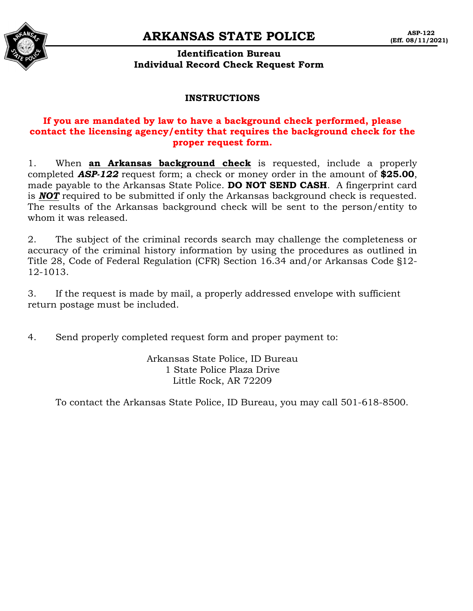## **ARKANSAS STATE POLICE**



## **Identification Bureau Individual Record Check Request Form**

#### **INSTRUCTIONS**

## **If you are mandated by law to have a background check performed, please contact the licensing agency/entity that requires the background check for the proper request form.**

1. When **an Arkansas background check** is requested, include a properly completed *ASP-122* request form; a check or money order in the amount of **\$25.00**, made payable to the Arkansas State Police. **DO NOT SEND CASH**. A fingerprint card is *NOT* required to be submitted if only the Arkansas background check is requested. The results of the Arkansas background check will be sent to the person/entity to whom it was released.

2. The subject of the criminal records search may challenge the completeness or accuracy of the criminal history information by using the procedures as outlined in Title 28, Code of Federal Regulation (CFR) Section 16.34 and/or Arkansas Code §12- 12-1013.

3. If the request is made by mail, a properly addressed envelope with sufficient return postage must be included.

4. Send properly completed request form and proper payment to:

Arkansas State Police, ID Bureau 1 State Police Plaza Drive Little Rock, AR 72209

To contact the Arkansas State Police, ID Bureau, you may call 501-618-8500.